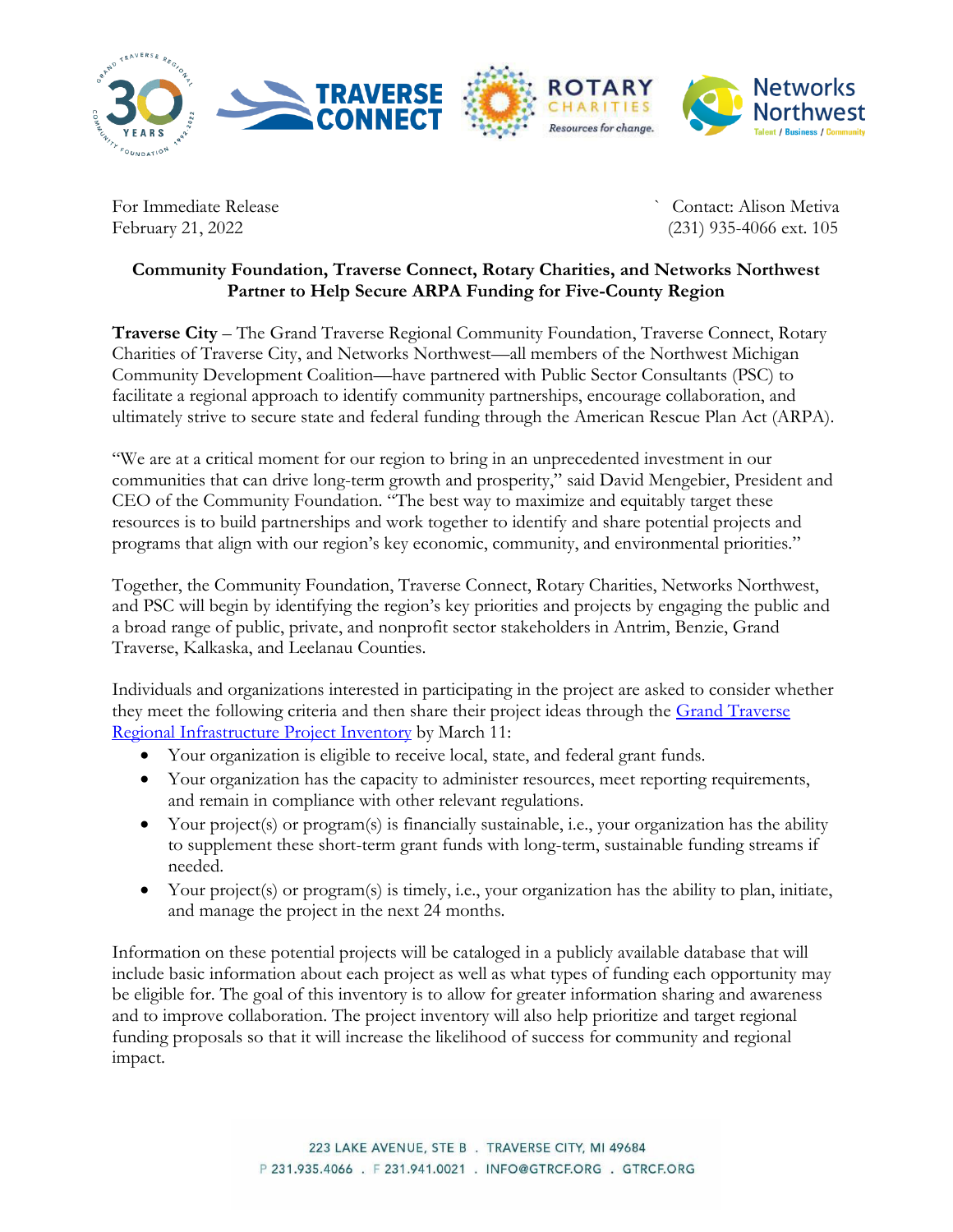

For Immediate Release **For Immediate Release** Security 2014 2015 2016 2017 2018 2019 2017 2018 2019 2017 2018 201

February 21, 2022 (231) 935-4066 ext. 105

## **Community Foundation, Traverse Connect, Rotary Charities, and Networks Northwest Partner to Help Secure ARPA Funding for Five-County Region**

**Traverse City** – The Grand Traverse Regional Community Foundation, Traverse Connect, Rotary Charities of Traverse City, and Networks Northwest—all members of the Northwest Michigan Community Development Coalition—have partnered with Public Sector Consultants (PSC) to facilitate a regional approach to identify community partnerships, encourage collaboration, and ultimately strive to secure state and federal funding through the American Rescue Plan Act (ARPA).

"We are at a critical moment for our region to bring in an unprecedented investment in our communities that can drive long-term growth and prosperity," said David Mengebier, President and CEO of the Community Foundation. "The best way to maximize and equitably target these resources is to build partnerships and work together to identify and share potential projects and programs that align with our region's key economic, community, and environmental priorities."

Together, the Community Foundation, Traverse Connect, Rotary Charities, Networks Northwest, and PSC will begin by identifying the region's key priorities and projects by engaging the public and a broad range of public, private, and nonprofit sector stakeholders in Antrim, Benzie, Grand Traverse, Kalkaska, and Leelanau Counties.

Individuals and organizations interested in participating in the project are asked to consider whether they meet the following criteria and then share their project ideas through the Grand Traverse [Regional Infrastructure Project Inventory](https://publicsectorconsultants.com/regional-infrastructure-project-inventory/) by March 11:

- Your organization is eligible to receive local, state, and federal grant funds.
- Your organization has the capacity to administer resources, meet reporting requirements, and remain in compliance with other relevant regulations.
- Your project(s) or program(s) is financially sustainable, i.e., your organization has the ability to supplement these short-term grant funds with long-term, sustainable funding streams if needed.
- Your project(s) or program(s) is timely, i.e., your organization has the ability to plan, initiate, and manage the project in the next 24 months.

Information on these potential projects will be cataloged in a publicly available database that will include basic information about each project as well as what types of funding each opportunity may be eligible for. The goal of this inventory is to allow for greater information sharing and awareness and to improve collaboration. The project inventory will also help prioritize and target regional funding proposals so that it will increase the likelihood of success for community and regional impact.